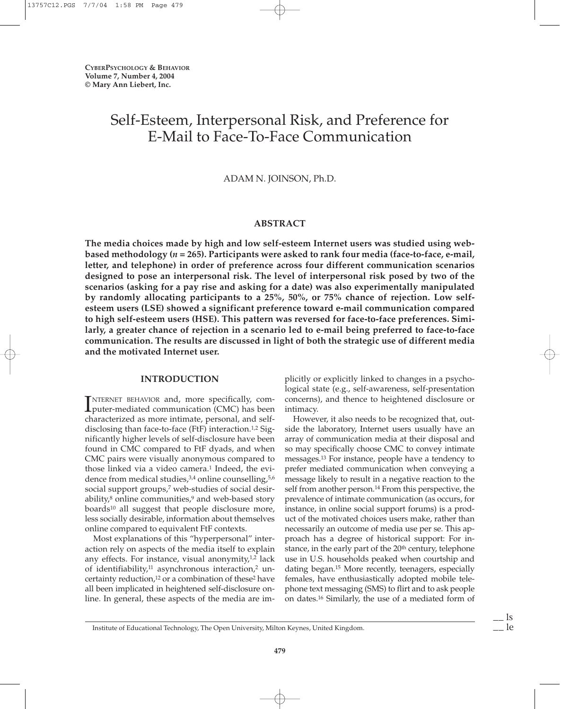**CYBERPSYCHOLOGY & BEHAVIOR Volume 7, Number 4, 2004 © Mary Ann Liebert, Inc.**

# Self-Esteem, Interpersonal Risk, and Preference for E-Mail to Face-To-Face Communication

# ADAM N. JOINSON, Ph.D.

# **ABSTRACT**

**The media choices made by high and low self-esteem Internet users was studied using webbased methodology (***n* **= 265). Participants were asked to rank four media (face-to-face, e-mail, letter, and telephone) in order of preference across four different communication scenarios designed to pose an interpersonal risk. The level of interpersonal risk posed by two of the scenarios (asking for a pay rise and asking for a date) was also experimentally manipulated by randomly allocating participants to a 25%, 50%, or 75% chance of rejection. Low selfesteem users (LSE) showed a significant preference toward e-mail communication compared to high self-esteem users (HSE). This pattern was reversed for face-to-face preferences. Similarly, a greater chance of rejection in a scenario led to e-mail being preferred to face-to-face communication. The results are discussed in light of both the strategic use of different media and the motivated Internet user.**

# **INTRODUCTION**

**INTERNET BEHAVIOR and, more specifically, computer-mediated communication (CMC) has been** puter-mediated communication (CMC) has been characterized as more intimate, personal, and selfdisclosing than face-to-face (FtF) interaction.1,2 Significantly higher levels of self-disclosure have been found in CMC compared to FtF dyads, and when CMC pairs were visually anonymous compared to those linked via a video camera.<sup>1</sup> Indeed, the evidence from medical studies, $3,4$  online counselling, $5,6$ social support groups,<sup>7</sup> web-studies of social desirability, $8$  online communities, $9$  and web-based story boards<sup>10</sup> all suggest that people disclosure more, less socially desirable, information about themselves online compared to equivalent FtF contexts.

Most explanations of this "hyperpersonal" interaction rely on aspects of the media itself to explain any effects. For instance, visual anonymity, $1/2$  lack of identifiability, $11$  asynchronous interaction, $2$  uncertainty reduction, $12$  or a combination of these<sup>2</sup> have all been implicated in heightened self-disclosure online. In general, these aspects of the media are im-

plicitly or explicitly linked to changes in a psychological state (e.g., self-awareness, self-presentation concerns), and thence to heightened disclosure or intimacy.

However, it also needs to be recognized that, outside the laboratory, Internet users usually have an array of communication media at their disposal and so may specifically choose CMC to convey intimate messages.13 For instance, people have a tendency to prefer mediated communication when conveying a message likely to result in a negative reaction to the self from another person.<sup>14</sup> From this perspective, the prevalence of intimate communication (as occurs, for instance, in online social support forums) is a product of the motivated choices users make, rather than necessarily an outcome of media use per se. This approach has a degree of historical support: For instance, in the early part of the 20<sup>th</sup> century, telephone use in U.S. households peaked when courtship and dating began.15 More recently, teenagers, especially females, have enthusiastically adopted mobile telephone text messaging (SMS) to flirt and to ask people on dates.16 Similarly, the use of a mediated form of

> \_\_ ls \_\_ le

Institute of Educational Technology, The Open University, Milton Keynes, United Kingdom.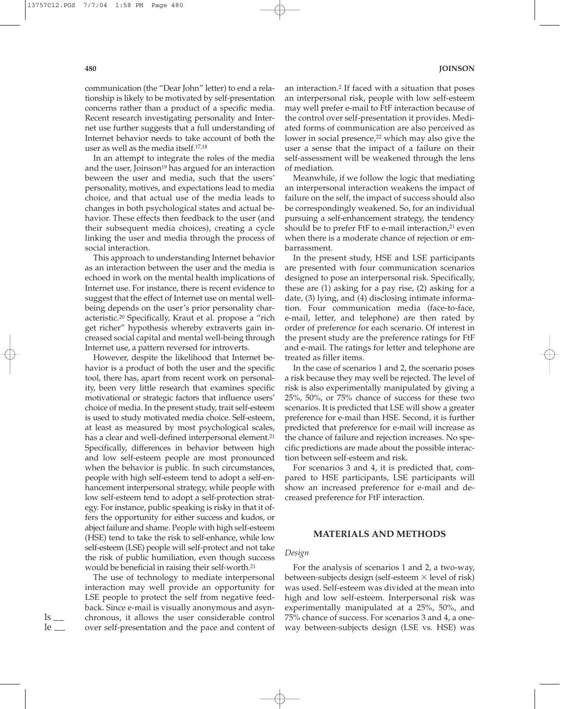communication (the "Dear John" letter) to end a relationship is likely to be motivated by self-presentation concerns rather than a product of a specific media. Recent research investigating personality and Internet use further suggests that a full understanding of Internet behavior needs to take account of both the user as well as the media itself.17,18

In an attempt to integrate the roles of the media and the user, Joinson<sup>19</sup> has argued for an interaction beween the user and media, such that the users' personality, motives, and expectations lead to media choice, and that actual use of the media leads to changes in both psychological states and actual behavior. These effects then feedback to the user (and their subsequent media choices), creating a cycle linking the user and media through the process of social interaction.

This approach to understanding Internet behavior as an interaction between the user and the media is echoed in work on the mental health implications of Internet use. For instance, there is recent evidence to suggest that the effect of Internet use on mental wellbeing depends on the user's prior personality characteristic.20 Specifically, Kraut et al. propose a "rich get richer" hypothesis whereby extraverts gain increased social capital and mental well-being through Internet use, a pattern reversed for introverts.

However, despite the likelihood that Internet behavior is a product of both the user and the specific tool, there has, apart from recent work on personality, been very little research that examines specific motivational or strategic factors that influence users' choice of media. In the present study, trait self-esteem is used to study motivated media choice. Self-esteem, at least as measured by most psychological scales, has a clear and well-defined interpersonal element.<sup>21</sup> Specifically, differences in behavior between high and low self-esteem people are most pronounced when the behavior is public. In such circumstances, people with high self-esteem tend to adopt a self-enhancement interpersonal strategy, while people with low self-esteem tend to adopt a self-protection strategy. For instance, public speaking is risky in that it offers the opportunity for either success and kudos, or abject failure and shame. People with high self-esteem (HSE) tend to take the risk to self-enhance, while low self-esteem (LSE) people will self-protect and not take the risk of public humiliation, even though success would be beneficial in raising their self-worth.21

The use of technology to mediate interpersonal interaction may well provide an opportunity for LSE people to protect the self from negative feedback. Since e-mail is visually anonymous and asynchronous, it allows the user considerable control over self-presentation and the pace and content of

an interaction.2 If faced with a situation that poses an interpersonal risk, people with low self-esteem may well prefer e-mail to FtF interaction because of the control over self-presentation it provides. Mediated forms of communication are also perceived as lower in social presence,<sup>22</sup> which may also give the user a sense that the impact of a failure on their self-assessment will be weakened through the lens of mediation.

Meanwhile, if we follow the logic that mediating an interpersonal interaction weakens the impact of failure on the self, the impact of success should also be correspondingly weakened. So, for an individual pursuing a self-enhancement strategy, the tendency should be to prefer FtF to e-mail interaction, $21$  even when there is a moderate chance of rejection or embarrassment.

In the present study, HSE and LSE participants are presented with four communication scenarios designed to pose an interpersonal risk. Specifically, these are (1) asking for a pay rise, (2) asking for a date, (3) lying, and (4) disclosing intimate information. Four communication media (face-to-face, e-mail, letter, and telephone) are then rated by order of preference for each scenario. Of interest in the present study are the preference ratings for FtF and e-mail. The ratings for letter and telephone are treated as filler items.

In the case of scenarios 1 and 2, the scenario poses a risk because they may well be rejected. The level of risk is also experimentally manipulated by giving a 25%, 50%, or 75% chance of success for these two scenarios. It is predicted that LSE will show a greater preference for e-mail than HSE. Second, it is further predicted that preference for e-mail will increase as the chance of failure and rejection increases. No specific predictions are made about the possible interaction between self-esteem and risk.

For scenarios 3 and 4, it is predicted that, compared to HSE participants, LSE participants will show an increased preference for e-mail and decreased preference for FtF interaction.

### **MATERIALS AND METHODS**

# *Design*

For the analysis of scenarios 1 and 2, a two-way, between-subjects design (self-esteem  $\times$  level of risk) was used. Self-esteem was divided at the mean into high and low self-esteem. Interpersonal risk was experimentally manipulated at a 25%, 50%, and 75% chance of success. For scenarios 3 and 4, a oneway between-subjects design (LSE vs. HSE) was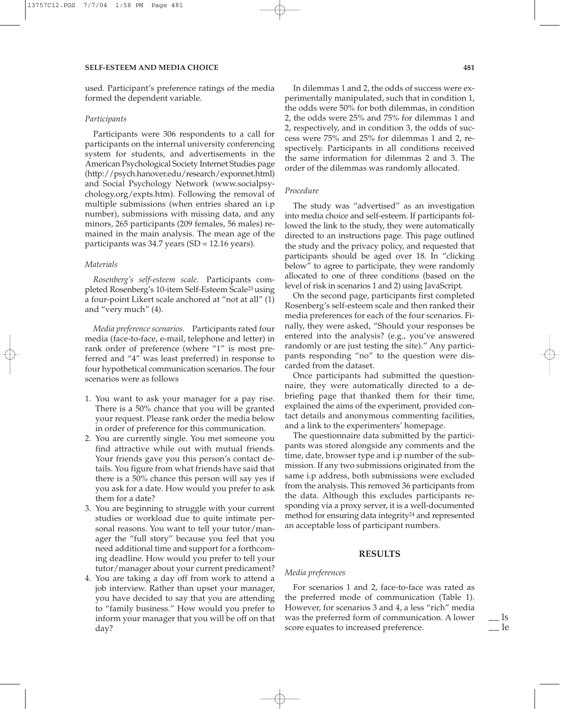### **SELF-ESTEEM AND MEDIA CHOICE 481**

used. Participant's preference ratings of the media formed the dependent variable.

### *Participants*

Participants were 306 respondents to a call for participants on the internal university conferencing system for students, and advertisements in the American Psychological Society Internet Studies page (http://psych.hanover.edu/research/exponnet.html) and Social Psychology Network (www.socialpsychology.org/expts.htm). Following the removal of multiple submissions (when entries shared an i.p number), submissions with missing data, and any minors, 265 participants (209 females, 56 males) remained in the main analysis. The mean age of the participants was 34.7 years (SD = 12.16 years).

### *Materials*

*Rosenberg's self-esteem scale.* Participants completed Rosenberg's 10-item Self-Esteem Scale23 using a four-point Likert scale anchored at "not at all" (1) and "very much" (4).

*Media preference scenarios.* Participants rated four media (face-to-face, e-mail, telephone and letter) in rank order of preference (where "1" is most preferred and "4" was least preferred) in response to four hypothetical communication scenarios. The four scenarios were as follows

- 1. You want to ask your manager for a pay rise. There is a 50% chance that you will be granted your request. Please rank order the media below in order of preference for this communication.
- 2. You are currently single. You met someone you find attractive while out with mutual friends. Your friends gave you this person's contact details. You figure from what friends have said that there is a 50% chance this person will say yes if you ask for a date. How would you prefer to ask them for a date?
- 3. You are beginning to struggle with your current studies or workload due to quite intimate personal reasons. You want to tell your tutor/manager the "full story" because you feel that you need additional time and support for a forthcoming deadline. How would you prefer to tell your tutor/manager about your current predicament?
- 4. You are taking a day off from work to attend a job interview. Rather than upset your manager, you have decided to say that you are attending to "family business." How would you prefer to inform your manager that you will be off on that day?

In dilemmas 1 and 2, the odds of success were experimentally manipulated, such that in condition 1, the odds were 50% for both dilemmas, in condition 2, the odds were 25% and 75% for dilemmas 1 and 2, respectively, and in condition 3, the odds of success were 75% and 25% for dilemmas 1 and 2, respectively. Participants in all conditions received the same information for dilemmas 2 and 3. The order of the dilemmas was randomly allocated.

### *Procedure*

The study was "advertised" as an investigation into media choice and self-esteem. If participants followed the link to the study, they were automatically directed to an instructions page. This page outlined the study and the privacy policy, and requested that participants should be aged over 18. In "clicking below" to agree to participate, they were randomly allocated to one of three conditions (based on the level of risk in scenarios 1 and 2) using JavaScript.

On the second page, participants first completed Rosenberg's self-esteem scale and then ranked their media preferences for each of the four scenarios. Finally, they were asked, "Should your responses be entered into the analysis? (e.g., you've answered randomly or are just testing the site)." Any participants responding "no" to the question were discarded from the dataset.

Once participants had submitted the questionnaire, they were automatically directed to a debriefing page that thanked them for their time, explained the aims of the experiment, provided contact details and anonymous commenting facilities, and a link to the experimenters' homepage.

The questionnaire data submitted by the participants was stored alongside any comments and the time, date, browser type and i.p number of the submission. If any two submissions originated from the same i.p address, both submissions were excluded from the analysis. This removed 36 participants from the data. Although this excludes participants responding via a proxy server, it is a well-documented method for ensuring data integrity<sup>24</sup> and represented an acceptable loss of participant numbers.

# **RESULTS**

# *Media preferences*

For scenarios 1 and 2, face-to-face was rated as the preferred mode of communication (Table 1). However, for scenarios 3 and 4, a less "rich" media was the preferred form of communication. A lower score equates to increased preference.

\_\_ ls \_\_ le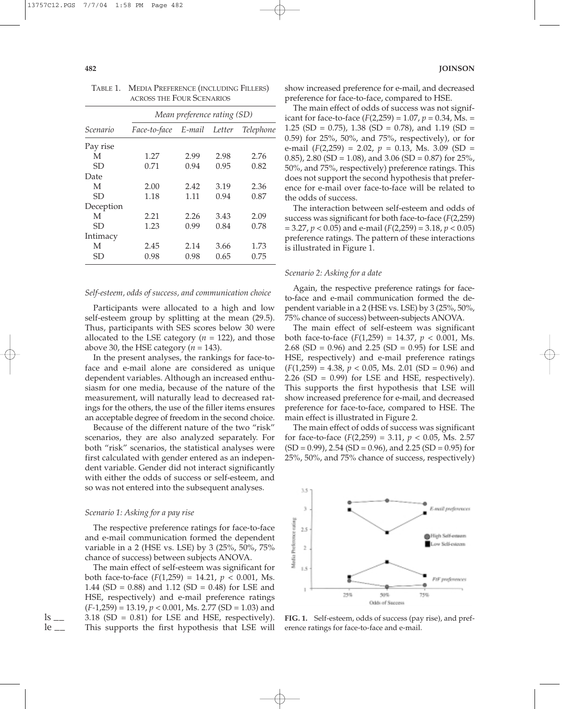TABLE 1. MEDIA PREFERENCE (INCLUDING FILLERS) ACROSS THE FOUR SCENARIOS

|           | Mean preference rating (SD) |               |      |           |  |  |  |  |  |
|-----------|-----------------------------|---------------|------|-----------|--|--|--|--|--|
| Scenario  | Face-to-face                | E-mail Letter |      | Telephone |  |  |  |  |  |
| Pay rise  |                             |               |      |           |  |  |  |  |  |
| M         | 1.27                        | 2.99          | 2.98 | 2.76      |  |  |  |  |  |
| <b>SD</b> | 0.71                        | 0.94          | 0.95 | 0.82      |  |  |  |  |  |
| Date      |                             |               |      |           |  |  |  |  |  |
| M         | 2.00                        | 2.42          | 3.19 | 2.36      |  |  |  |  |  |
| <b>SD</b> | 1.18                        | 1.11          | 0.94 | 0.87      |  |  |  |  |  |
| Deception |                             |               |      |           |  |  |  |  |  |
| M         | 2.21                        | 2.26          | 3.43 | 2.09      |  |  |  |  |  |
| <b>SD</b> | 1.23                        | 0.99          | 0.84 | 0.78      |  |  |  |  |  |
| Intimacy  |                             |               |      |           |  |  |  |  |  |
| M         | 2.45                        | 2.14          | 3.66 | 1.73      |  |  |  |  |  |
| <b>SD</b> | 0.98                        | 0.98          | 0.65 | 0.75      |  |  |  |  |  |

# *Self-esteem, odds of success, and communication choice*

Participants were allocated to a high and low self-esteem group by splitting at the mean (29.5). Thus, participants with SES scores below 30 were allocated to the LSE category  $(n = 122)$ , and those above 30, the HSE category  $(n = 143)$ .

In the present analyses, the rankings for face-toface and e-mail alone are considered as unique dependent variables. Although an increased enthusiasm for one media, because of the nature of the measurement, will naturally lead to decreased ratings for the others, the use of the filler items ensures an acceptable degree of freedom in the second choice.

Because of the different nature of the two "risk" scenarios, they are also analyzed separately. For both "risk" scenarios, the statistical analyses were first calculated with gender entered as an independent variable. Gender did not interact significantly with either the odds of success or self-esteem, and so was not entered into the subsequent analyses.

### *Scenario 1: Asking for a pay rise*

The respective preference ratings for face-to-face and e-mail communication formed the dependent variable in a 2 (HSE vs. LSE) by 3 (25%, 50%, 75% chance of success) between subjects ANOVA.

The main effect of self-esteem was significant for both face-to-face  $(F(1,259) = 14.21, p < 0.001, Ms)$ . 1.44 (SD = 0.88) and 1.12 (SD = 0.48) for LSE and HSE, respectively) and e-mail preference ratings (*F-*1,259) = 13.19, *p* < 0.001, Ms. 2.77 (SD = 1.03) and  $3.18$  (SD = 0.81) for LSE and HSE, respectively). This supports the first hypothesis that LSE will show increased preference for e-mail, and decreased preference for face-to-face, compared to HSE.

The main effect of odds of success was not significant for face-to-face  $(F(2,259) = 1.07, p = 0.34, Ms. =$ 1.25 (SD = 0.75), 1.38 (SD = 0.78), and 1.19 (SD = 0.59) for 25%, 50%, and 75%, respectively), or for e-mail (*F*(2,259) = 2.02, *p* = 0.13, Ms. 3.09 (SD = 0.85), 2.80 (SD = 1.08), and 3.06 (SD = 0.87) for  $25\%$ , 50%, and 75%, respectively) preference ratings. This does not support the second hypothesis that preference for e-mail over face-to-face will be related to the odds of success.

The interaction between self-esteem and odds of success was significant for both face-to-face (*F*(2,259) = 3.27, *p* < 0.05) and e-mail (*F*(2,259) = 3.18, *p* < 0.05) preference ratings. The pattern of these interactions is illustrated in Figure 1.

## *Scenario 2: Asking for a date*

Again, the respective preference ratings for faceto-face and e-mail communication formed the dependent variable in a 2 (HSE vs. LSE) by 3 (25%, 50%, 75% chance of success) between-subjects ANOVA.

The main effect of self-esteem was significant both face-to-face (*F*(1,259) = 14.37, *p* < 0.001, Ms. 2.68 (SD = 0.96) and 2.25 (SD = 0.95) for LSE and HSE, respectively) and e-mail preference ratings  $(F(1,259) = 4.38, p < 0.05, Ms. 2.01 (SD = 0.96)$  and  $2.26$  (SD = 0.99) for LSE and HSE, respectively). This supports the first hypothesis that LSE will show increased preference for e-mail, and decreased preference for face-to-face, compared to HSE. The main effect is illustrated in Figure 2.

The main effect of odds of success was significant for face-to-face (*F*(2,259) = 3.11, *p* < 0.05, Ms. 2.57  $(SD = 0.99)$ , 2.54  $(SD = 0.96)$ , and 2.25  $(SD = 0.95)$  for 25%, 50%, and 75% chance of success, respectively)



**FIG. 1.** Self-esteem, odds of success (pay rise), and preference ratings for face-to-face and e-mail.

 $\ln$  $le$   $\_\_$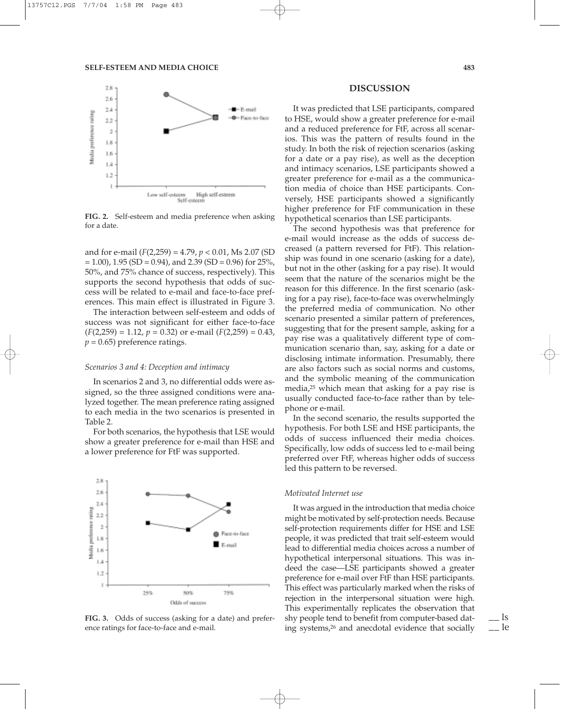### **SELF-ESTEEM AND MEDIA CHOICE 483**



**FIG. 2.** Self-esteem and media preference when asking for a date.

and for e-mail (*F*(2,259) = 4.79, *p* < 0.01, Ms 2.07 (SD  $= 1.00$ ), 1.95 (SD = 0.94), and 2.39 (SD = 0.96) for 25%, 50%, and 75% chance of success, respectively). This supports the second hypothesis that odds of success will be related to e-mail and face-to-face preferences. This main effect is illustrated in Figure 3.

The interaction between self-esteem and odds of success was not significant for either face-to-face  $(F(2,259) = 1.12, p = 0.32)$  or e-mail  $(F(2,259) = 0.43,$  $p = 0.65$ ) preference ratings.

### *Scenarios 3 and 4: Deception and intimacy*

In scenarios 2 and 3, no differential odds were assigned, so the three assigned conditions were analyzed together. The mean preference rating assigned to each media in the two scenarios is presented in Table 2.

For both scenarios, the hypothesis that LSE would show a greater preference for e-mail than HSE and a lower preference for FtF was supported.



**FIG. 3.** Odds of success (asking for a date) and preference ratings for face-to-face and e-mail.

# **DISCUSSION**

It was predicted that LSE participants, compared to HSE, would show a greater preference for e-mail and a reduced preference for FtF, across all scenarios. This was the pattern of results found in the study. In both the risk of rejection scenarios (asking for a date or a pay rise), as well as the deception and intimacy scenarios, LSE participants showed a greater preference for e-mail as a the communication media of choice than HSE participants. Conversely, HSE participants showed a significantly higher preference for FtF communication in these hypothetical scenarios than LSE participants.

The second hypothesis was that preference for e-mail would increase as the odds of success decreased (a pattern reversed for FtF). This relationship was found in one scenario (asking for a date), but not in the other (asking for a pay rise). It would seem that the nature of the scenarios might be the reason for this difference. In the first scenario (asking for a pay rise), face-to-face was overwhelmingly the preferred media of communication. No other scenario presented a similar pattern of preferences, suggesting that for the present sample, asking for a pay rise was a qualitatively different type of communication scenario than, say, asking for a date or disclosing intimate information. Presumably, there are also factors such as social norms and customs, and the symbolic meaning of the communication media,25 which mean that asking for a pay rise is usually conducted face-to-face rather than by telephone or e-mail.

In the second scenario, the results supported the hypothesis. For both LSE and HSE participants, the odds of success influenced their media choices. Specifically, low odds of success led to e-mail being preferred over FtF, whereas higher odds of success led this pattern to be reversed.

# *Motivated Internet use*

It was argued in the introduction that media choice might be motivated by self-protection needs. Because self-protection requirements differ for HSE and LSE people, it was predicted that trait self-esteem would lead to differential media choices across a number of hypothetical interpersonal situations. This was indeed the case—LSE participants showed a greater preference for e-mail over FtF than HSE participants. This effect was particularly marked when the risks of rejection in the interpersonal situation were high. This experimentally replicates the observation that shy people tend to benefit from computer-based dating systems,26 and anecdotal evidence that socially

\_\_ ls \_\_ le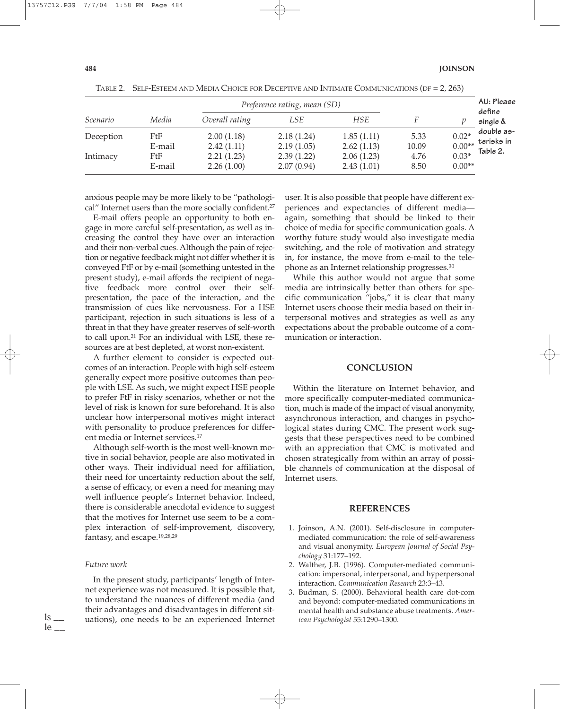| 484 | <b>JOINSON</b> |
|-----|----------------|
|-----|----------------|

|           | TABLE 2. SELF-ESTEEM AND MEDIA CHOICE FOR DECEPTIVE AND INTIMATE COMMUNICATIONS (DF = 2, 263) |                          |                          |                          |               |                     |                          |
|-----------|-----------------------------------------------------------------------------------------------|--------------------------|--------------------------|--------------------------|---------------|---------------------|--------------------------|
|           | Preference rating, mean (SD)                                                                  |                          |                          |                          |               |                     | AU: Please<br>define     |
| Scenario  | Media                                                                                         | Overall rating           | LSE                      | <b>HSE</b>               |               | single &            |                          |
| Deception | FtF<br>E-mail                                                                                 | 2.00(1.18)<br>2.42(1.11) | 2.18(1.24)<br>2.19(1.05) | 1.85(1.11)<br>2.62(1.13) | 5.33<br>10.09 | $0.02*$<br>$0.00**$ | double as-<br>terisks in |
| Intimacy  | FtF<br>E-mail                                                                                 | 2.21(1.23)<br>2.26(1.00) | 2.39(1.22)<br>2.07(0.94) | 2.06(1.23)<br>2.43(1.01) | 4.76<br>8.50  | $0.03*$<br>$0.00**$ | Table 2.                 |

TABLE 2. SELF-ESTEEM AND MEDIA CHOICE FOR DECEPTIVE AND INTIMATE COMMUNICATIONS (DF = 2, 263)

anxious people may be more likely to be "pathological" Internet users than the more socially confident.<sup>27</sup>

E-mail offers people an opportunity to both engage in more careful self-presentation, as well as increasing the control they have over an interaction and their non-verbal cues. Although the pain of rejection or negative feedback might not differ whether it is conveyed FtF or by e-mail (something untested in the present study), e-mail affords the recipient of negative feedback more control over their selfpresentation, the pace of the interaction, and the transmission of cues like nervousness. For a HSE participant, rejection in such situations is less of a threat in that they have greater reserves of self-worth to call upon.21 For an individual with LSE, these resources are at best depleted, at worst non-existent.

A further element to consider is expected outcomes of an interaction. People with high self-esteem generally expect more positive outcomes than people with LSE. As such, we might expect HSE people to prefer FtF in risky scenarios, whether or not the level of risk is known for sure beforehand. It is also unclear how interpersonal motives might interact with personality to produce preferences for different media or Internet services.17

Although self-worth is the most well-known motive in social behavior, people are also motivated in other ways. Their individual need for affiliation, their need for uncertainty reduction about the self, a sense of efficacy, or even a need for meaning may well influence people's Internet behavior. Indeed, there is considerable anecdotal evidence to suggest that the motives for Internet use seem to be a complex interaction of self-improvement, discovery, fantasy, and escape.19,28,29

### *Future work*

In the present study, participants' length of Internet experience was not measured. It is possible that, to understand the nuances of different media (and their advantages and disadvantages in different situations), one needs to be an experienced Internet

user. It is also possible that people have different experiences and expectancies of different media again, something that should be linked to their choice of media for specific communication goals. A worthy future study would also investigate media switching, and the role of motivation and strategy in, for instance, the move from e-mail to the telephone as an Internet relationship progresses.30

While this author would not argue that some media are intrinsically better than others for specific communication "jobs," it is clear that many Internet users choose their media based on their interpersonal motives and strategies as well as any expectations about the probable outcome of a communication or interaction.

## **CONCLUSION**

Within the literature on Internet behavior, and more specifically computer-mediated communication, much is made of the impact of visual anonymity, asynchronous interaction, and changes in psychological states during CMC. The present work suggests that these perspectives need to be combined with an appreciation that CMC is motivated and chosen strategically from within an array of possible channels of communication at the disposal of Internet users.

# **REFERENCES**

- 1. Joinson, A.N. (2001). Self-disclosure in computermediated communication: the role of self-awareness and visual anonymity. *European Journal of Social Psychology* 31:177–192.
- 2. Walther, J.B. (1996). Computer-mediated communication: impersonal, interpersonal, and hyperpersonal interaction. *Communication Research* 23:3–43.
- 3. Budman, S. (2000). Behavioral health care dot-com and beyond: computer-mediated communications in mental health and substance abuse treatments. *American Psychologist* 55:1290–1300.

 $ls$   $$  $le$   $\overline{\phantom{a}}$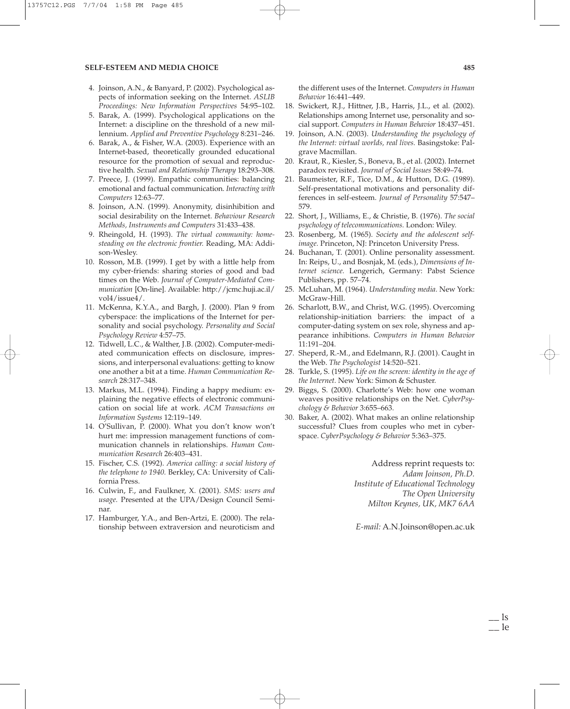### **SELF-ESTEEM AND MEDIA CHOICE 485**

- 4. Joinson, A.N., & Banyard, P. (2002). Psychological aspects of information seeking on the Internet. *ASLIB Proceedings: New Information Perspectives* 54:95–102.
- 5. Barak, A. (1999). Psychological applications on the Internet: a discipline on the threshold of a new millennium. *Applied and Preventive Psychology* 8:231–246.
- 6. Barak, A., & Fisher, W.A. (2003). Experience with an Internet-based, theoretically grounded educational resource for the promotion of sexual and reproductive health. *Sexual and Relationship Therapy* 18:293–308.
- 7. Preece, J. (1999). Empathic communities: balancing emotional and factual communication. *Interacting with Computers* 12:63–77.
- 8. Joinson, A.N. (1999). Anonymity, disinhibition and social desirability on the Internet. *Behaviour Research Methods, Instruments and Computers* 31:433–438.
- 9. Rheingold, H. (1993). *The virtual community: homesteading on the electronic frontier.* Reading, MA: Addison-Wesley.
- 10. Rosson, M.B. (1999). I get by with a little help from my cyber-friends: sharing stories of good and bad times on the Web. *Journal of Computer-Mediated Communication* [On-line]. Available: http://jcmc.huji.ac.il/ vol4/issue4/.
- 11. McKenna, K.Y.A., and Bargh, J. (2000). Plan 9 from cyberspace: the implications of the Internet for personality and social psychology. *Personality and Social Psychology Review* 4:57–75.
- 12. Tidwell, L.C., & Walther, J.B. (2002). Computer-mediated communication effects on disclosure, impressions, and interpersonal evaluations: getting to know one another a bit at a time. *Human Communication Research* 28:317–348.
- 13. Markus, M.L. (1994). Finding a happy medium: explaining the negative effects of electronic communication on social life at work. *ACM Transactions on Information Systems* 12:119–149.
- 14. O'Sullivan, P. (2000). What you don't know won't hurt me: impression management functions of communication channels in relationships. *Human Communication Research* 26:403–431.
- 15. Fischer, C.S. (1992). *America calling: a social history of the telephone to 1940.* Berkley, CA: University of California Press.
- 16. Culwin, F., and Faulkner, X. (2001). *SMS: users and usage.* Presented at the UPA/Design Council Seminar.
- 17. Hamburger, Y.A., and Ben-Artzi, E. (2000). The relationship between extraversion and neuroticism and

the different uses of the Internet. *Computers in Human Behavior* 16:441–449.

- 18. Swickert, R.J., Hittner, J.B., Harris, J.L., et al. (2002). Relationships among Internet use, personality and social support. *Computers in Human Behavior* 18:437–451.
- 19. Joinson, A.N. (2003). *Understanding the psychology of the Internet: virtual worlds, real lives.* Basingstoke: Palgrave Macmillan.
- 20. Kraut, R., Kiesler, S., Boneva, B., et al. (2002). Internet paradox revisited. *Journal of Social Issues* 58:49–74.
- 21. Baumeister, R.F., Tice, D.M., & Hutton, D.G. (1989). Self-presentational motivations and personality differences in self-esteem. *Journal of Personality* 57:547– 579.
- 22. Short, J., Williams, E., & Christie, B. (1976). *The social psychology of telecommunications.* London: Wiley.
- 23. Rosenberg, M. (1965). *Society and the adolescent selfimage.* Princeton, NJ: Princeton University Press.
- 24. Buchanan, T. (2001). Online personality assessment. In: Reips, U., and Bosnjak, M. (eds.), *Dimensions of Internet science.* Lengerich, Germany: Pabst Science Publishers, pp. 57–74.
- 25. McLuhan, M. (1964). *Understanding media.* New York: McGraw-Hill.
- 26. Scharlott, B.W., and Christ, W.G. (1995). Overcoming relationship-initiation barriers: the impact of a computer-dating system on sex role, shyness and appearance inhibitions. *Computers in Human Behavior* 11:191–204.
- 27. Sheperd, R.-M., and Edelmann, R.J. (2001). Caught in the Web. *The Psychologist* 14:520–521.
- 28. Turkle, S. (1995). *Life on the screen: identity in the age of the Internet.* New York: Simon & Schuster.
- 29. Biggs, S. (2000). Charlotte's Web: how one woman weaves positive relationships on the Net. *CyberPsychology & Behavior* 3:655–663.
- 30. Baker, A. (2002). What makes an online relationship successful? Clues from couples who met in cyberspace. *CyberPsychology & Behavior* 5:363–375.

Address reprint requests to: *Adam Joinson, Ph.D. Institute of Educational Technology The Open University Milton Keynes, UK, MK7 6AA*

*E-mail:* A.N.Joinson@open.ac.uk